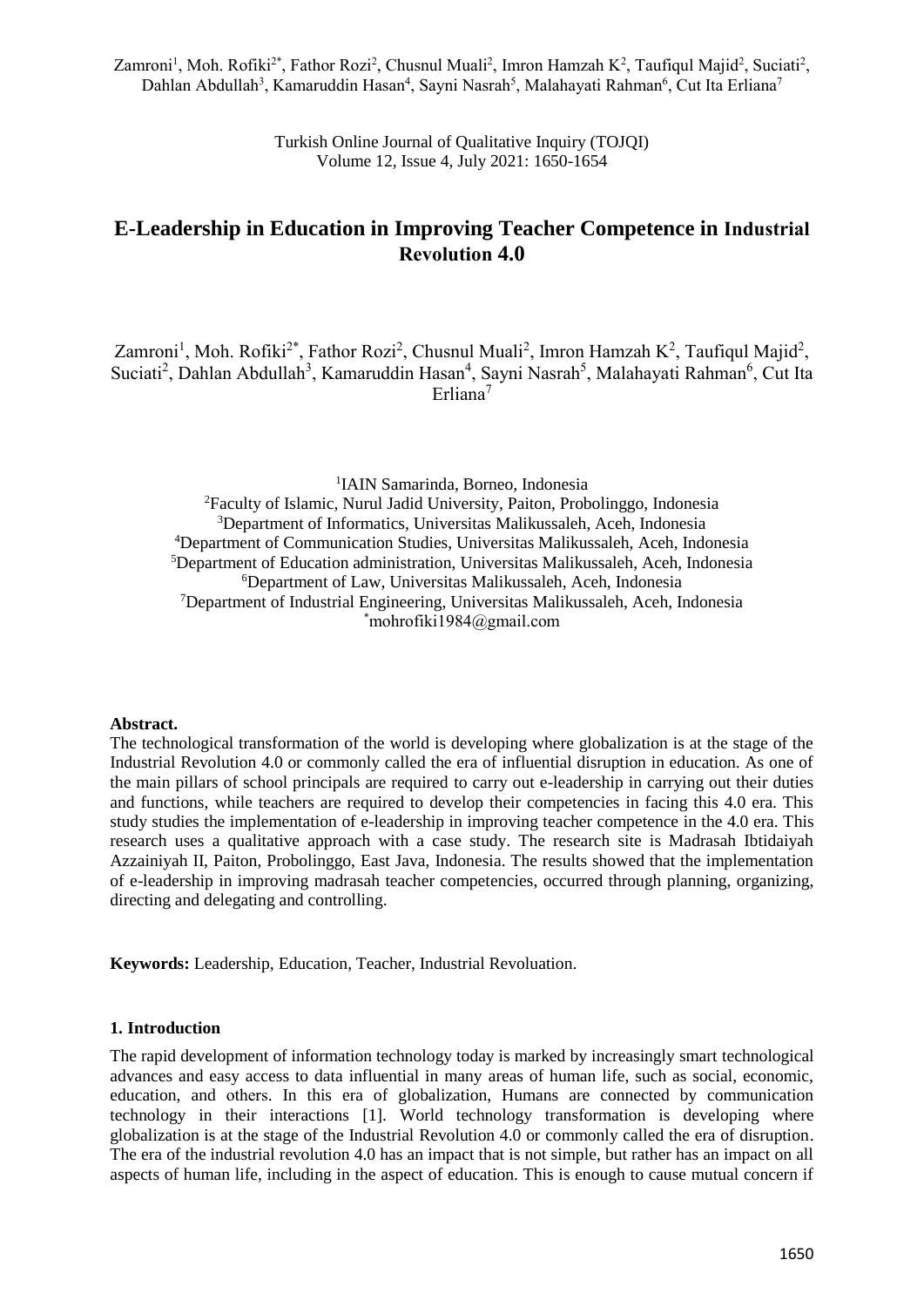Zamroni<sup>1</sup>, Moh. Rofiki<sup>2\*</sup>, Fathor Rozi<sup>2</sup>, Chusnul Muali<sup>2</sup>, Imron Hamzah K<sup>2</sup>, Taufiqul Majid<sup>2</sup>, Suciati<sup>2</sup>, Dahlan Abdullah<sup>3</sup>, Kamaruddin Hasan<sup>4</sup>, Sayni Nasrah<sup>5</sup>, Malahayati Rahman<sup>6</sup>, Cut Ita Erliana<sup>7</sup>

> Turkish Online Journal of Qualitative Inquiry (TOJQI) Volume 12, Issue 4, July 2021: 1650-1654

# **E-Leadership in Education in Improving Teacher Competence in Industrial Revolution 4.0**

Zamroni<sup>1</sup>, Moh. Rofiki<sup>2\*</sup>, Fathor Rozi<sup>2</sup>, Chusnul Muali<sup>2</sup>, Imron Hamzah K<sup>2</sup>, Taufiqul Majid<sup>2</sup>, Suciati<sup>2</sup>, Dahlan Abdullah<sup>3</sup>, Kamaruddin Hasan<sup>4</sup>, Sayni Nasrah<sup>5</sup>, Malahayati Rahman<sup>6</sup>, Cut Ita Erliana<sup>7</sup>

 IAIN Samarinda, Borneo, Indonesia Faculty of Islamic, Nurul Jadid University, Paiton, Probolinggo, Indonesia Department of Informatics, Universitas Malikussaleh, Aceh, Indonesia Department of Communication Studies, Universitas Malikussaleh, Aceh, Indonesia Department of Education administration, Universitas Malikussaleh, Aceh, Indonesia Department of Law, Universitas Malikussaleh, Aceh, Indonesia Department of Industrial Engineering, Universitas Malikussaleh, Aceh, Indonesia  $*$ mohrofiki1984@gmail.com

#### **Abstract.**

The technological transformation of the world is developing where globalization is at the stage of the Industrial Revolution 4.0 or commonly called the era of influential disruption in education. As one of the main pillars of school principals are required to carry out e-leadership in carrying out their duties and functions, while teachers are required to develop their competencies in facing this 4.0 era. This study studies the implementation of e-leadership in improving teacher competence in the 4.0 era. This research uses a qualitative approach with a case study. The research site is Madrasah Ibtidaiyah Azzainiyah II, Paiton, Probolinggo, East Java, Indonesia. The results showed that the implementation of e-leadership in improving madrasah teacher competencies, occurred through planning, organizing, directing and delegating and controlling.

**Keywords:** Leadership, Education, Teacher, Industrial Revoluation.

#### **1. Introduction**

The rapid development of information technology today is marked by increasingly smart technological advances and easy access to data influential in many areas of human life, such as social, economic, education, and others. In this era of globalization, Humans are connected by communication technology in their interactions [1]. World technology transformation is developing where globalization is at the stage of the Industrial Revolution 4.0 or commonly called the era of disruption. The era of the industrial revolution 4.0 has an impact that is not simple, but rather has an impact on all aspects of human life, including in the aspect of education. This is enough to cause mutual concern if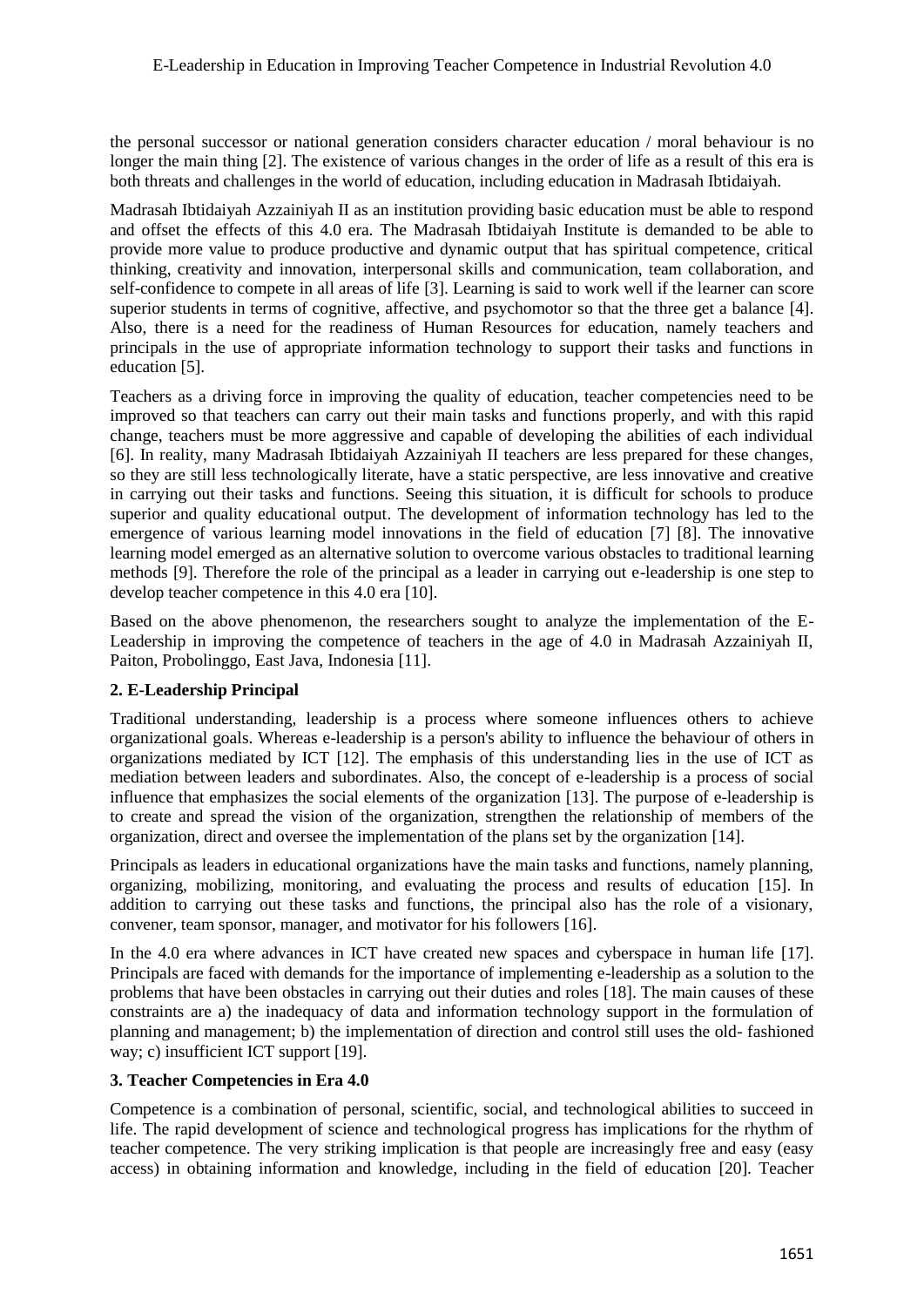the personal successor or national generation considers character education / moral behaviour is no longer the main thing [2]. The existence of various changes in the order of life as a result of this era is both threats and challenges in the world of education, including education in Madrasah Ibtidaiyah.

Madrasah Ibtidaiyah Azzainiyah II as an institution providing basic education must be able to respond and offset the effects of this 4.0 era. The Madrasah Ibtidaiyah Institute is demanded to be able to provide more value to produce productive and dynamic output that has spiritual competence, critical thinking, creativity and innovation, interpersonal skills and communication, team collaboration, and self-confidence to compete in all areas of life [3]. Learning is said to work well if the learner can score superior students in terms of cognitive, affective, and psychomotor so that the three get a balance [4]. Also, there is a need for the readiness of Human Resources for education, namely teachers and principals in the use of appropriate information technology to support their tasks and functions in education [5].

Teachers as a driving force in improving the quality of education, teacher competencies need to be improved so that teachers can carry out their main tasks and functions properly, and with this rapid change, teachers must be more aggressive and capable of developing the abilities of each individual [6]. In reality, many Madrasah Ibtidaiyah Azzainiyah II teachers are less prepared for these changes, so they are still less technologically literate, have a static perspective, are less innovative and creative in carrying out their tasks and functions. Seeing this situation, it is difficult for schools to produce superior and quality educational output. The development of information technology has led to the emergence of various learning model innovations in the field of education [7] [8]. The innovative learning model emerged as an alternative solution to overcome various obstacles to traditional learning methods [9]. Therefore the role of the principal as a leader in carrying out e-leadership is one step to develop teacher competence in this 4.0 era [10].

Based on the above phenomenon, the researchers sought to analyze the implementation of the E-Leadership in improving the competence of teachers in the age of 4.0 in Madrasah Azzainiyah II, Paiton, Probolinggo, East Java, Indonesia [11].

# **2. E-Leadership Principal**

Traditional understanding, leadership is a process where someone influences others to achieve organizational goals. Whereas e-leadership is a person's ability to influence the behaviour of others in organizations mediated by ICT [12]. The emphasis of this understanding lies in the use of ICT as mediation between leaders and subordinates. Also, the concept of e-leadership is a process of social influence that emphasizes the social elements of the organization [13]. The purpose of e-leadership is to create and spread the vision of the organization, strengthen the relationship of members of the organization, direct and oversee the implementation of the plans set by the organization [14].

Principals as leaders in educational organizations have the main tasks and functions, namely planning, organizing, mobilizing, monitoring, and evaluating the process and results of education [15]. In addition to carrying out these tasks and functions, the principal also has the role of a visionary, convener, team sponsor, manager, and motivator for his followers [16].

In the 4.0 era where advances in ICT have created new spaces and cyberspace in human life [17]. Principals are faced with demands for the importance of implementing e-leadership as a solution to the problems that have been obstacles in carrying out their duties and roles [18]. The main causes of these constraints are a) the inadequacy of data and information technology support in the formulation of planning and management; b) the implementation of direction and control still uses the old- fashioned way; c) insufficient ICT support [19].

# **3. Teacher Competencies in Era 4.0**

Competence is a combination of personal, scientific, social, and technological abilities to succeed in life. The rapid development of science and technological progress has implications for the rhythm of teacher competence. The very striking implication is that people are increasingly free and easy (easy access) in obtaining information and knowledge, including in the field of education [20]. Teacher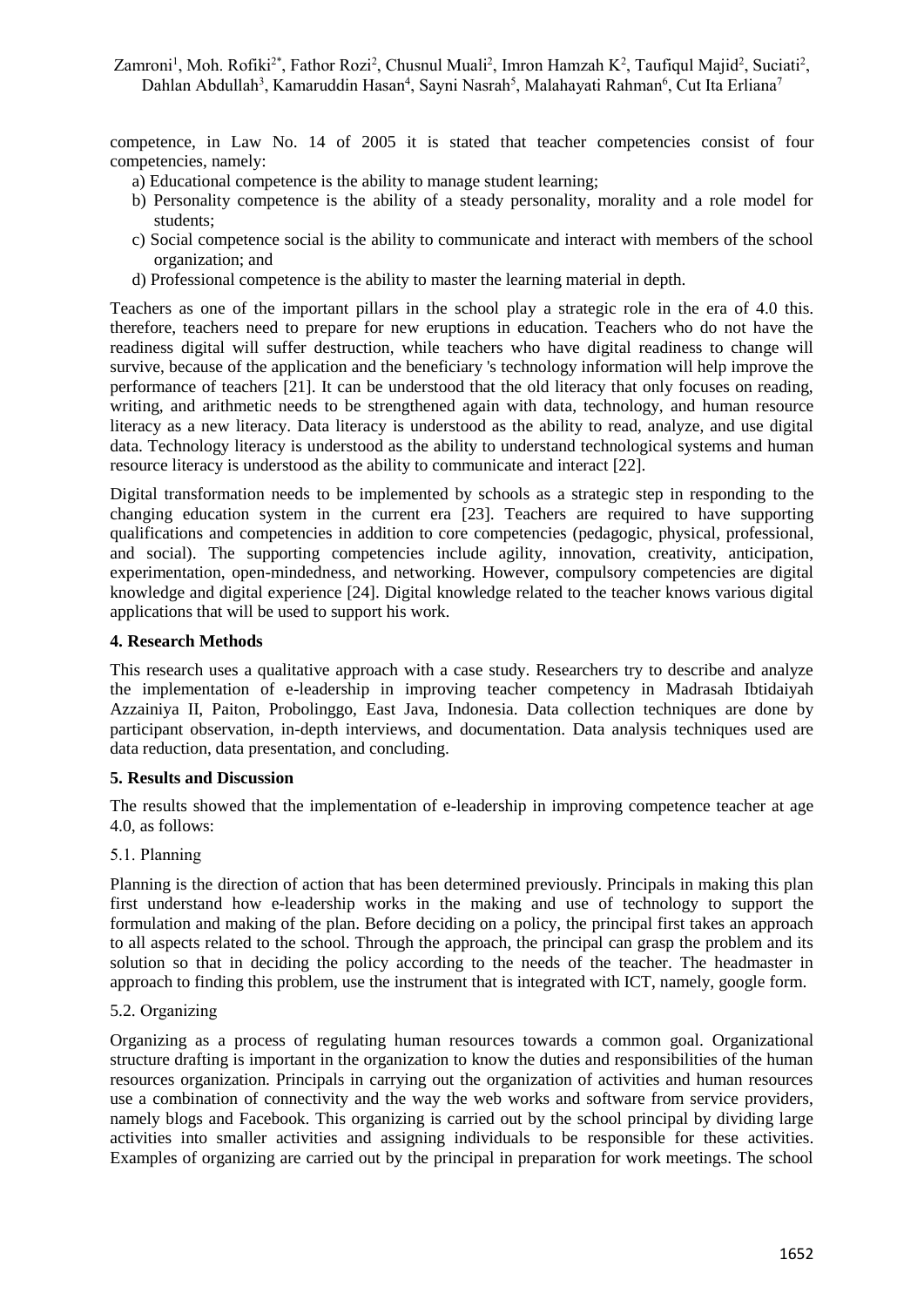Zamroni<sup>1</sup>, Moh. Rofiki<sup>2\*</sup>, Fathor Rozi<sup>2</sup>, Chusnul Muali<sup>2</sup>, Imron Hamzah K<sup>2</sup>, Taufiqul Majid<sup>2</sup>, Suciati<sup>2</sup>, Dahlan Abdullah<sup>3</sup>, Kamaruddin Hasan<sup>4</sup>, Sayni Nasrah<sup>5</sup>, Malahayati Rahman<sup>6</sup>, Cut Ita Erliana<sup>7</sup>

competence, in Law No. 14 of 2005 it is stated that teacher competencies consist of four competencies, namely:

- a) Educational competence is the ability to manage student learning;
- b) Personality competence is the ability of a steady personality, morality and a role model for students;
- c) Social competence social is the ability to communicate and interact with members of the school organization; and
- d) Professional competence is the ability to master the learning material in depth.

Teachers as one of the important pillars in the school play a strategic role in the era of 4.0 this. therefore, teachers need to prepare for new eruptions in education. Teachers who do not have the readiness digital will suffer destruction, while teachers who have digital readiness to change will survive, because of the application and the beneficiary 's technology information will help improve the performance of teachers [21]. It can be understood that the old literacy that only focuses on reading, writing, and arithmetic needs to be strengthened again with data, technology, and human resource literacy as a new literacy. Data literacy is understood as the ability to read, analyze, and use digital data. Technology literacy is understood as the ability to understand technological systems and human resource literacy is understood as the ability to communicate and interact [22].

Digital transformation needs to be implemented by schools as a strategic step in responding to the changing education system in the current era [23]. Teachers are required to have supporting qualifications and competencies in addition to core competencies (pedagogic, physical, professional, and social). The supporting competencies include agility, innovation, creativity, anticipation, experimentation, open-mindedness, and networking. However, compulsory competencies are digital knowledge and digital experience [24]. Digital knowledge related to the teacher knows various digital applications that will be used to support his work.

#### **4. Research Methods**

This research uses a qualitative approach with a case study. Researchers try to describe and analyze the implementation of e-leadership in improving teacher competency in Madrasah Ibtidaiyah Azzainiya II, Paiton, Probolinggo, East Java, Indonesia. Data collection techniques are done by participant observation, in-depth interviews, and documentation. Data analysis techniques used are data reduction, data presentation, and concluding.

#### **5. Results and Discussion**

The results showed that the implementation of e-leadership in improving competence teacher at age 4.0, as follows:

#### 5.1. Planning

Planning is the direction of action that has been determined previously. Principals in making this plan first understand how e-leadership works in the making and use of technology to support the formulation and making of the plan. Before deciding on a policy, the principal first takes an approach to all aspects related to the school. Through the approach, the principal can grasp the problem and its solution so that in deciding the policy according to the needs of the teacher. The headmaster in approach to finding this problem, use the instrument that is integrated with ICT, namely, google form.

### 5.2. Organizing

Organizing as a process of regulating human resources towards a common goal. Organizational structure drafting is important in the organization to know the duties and responsibilities of the human resources organization. Principals in carrying out the organization of activities and human resources use a combination of connectivity and the way the web works and software from service providers, namely blogs and Facebook. This organizing is carried out by the school principal by dividing large activities into smaller activities and assigning individuals to be responsible for these activities. Examples of organizing are carried out by the principal in preparation for work meetings. The school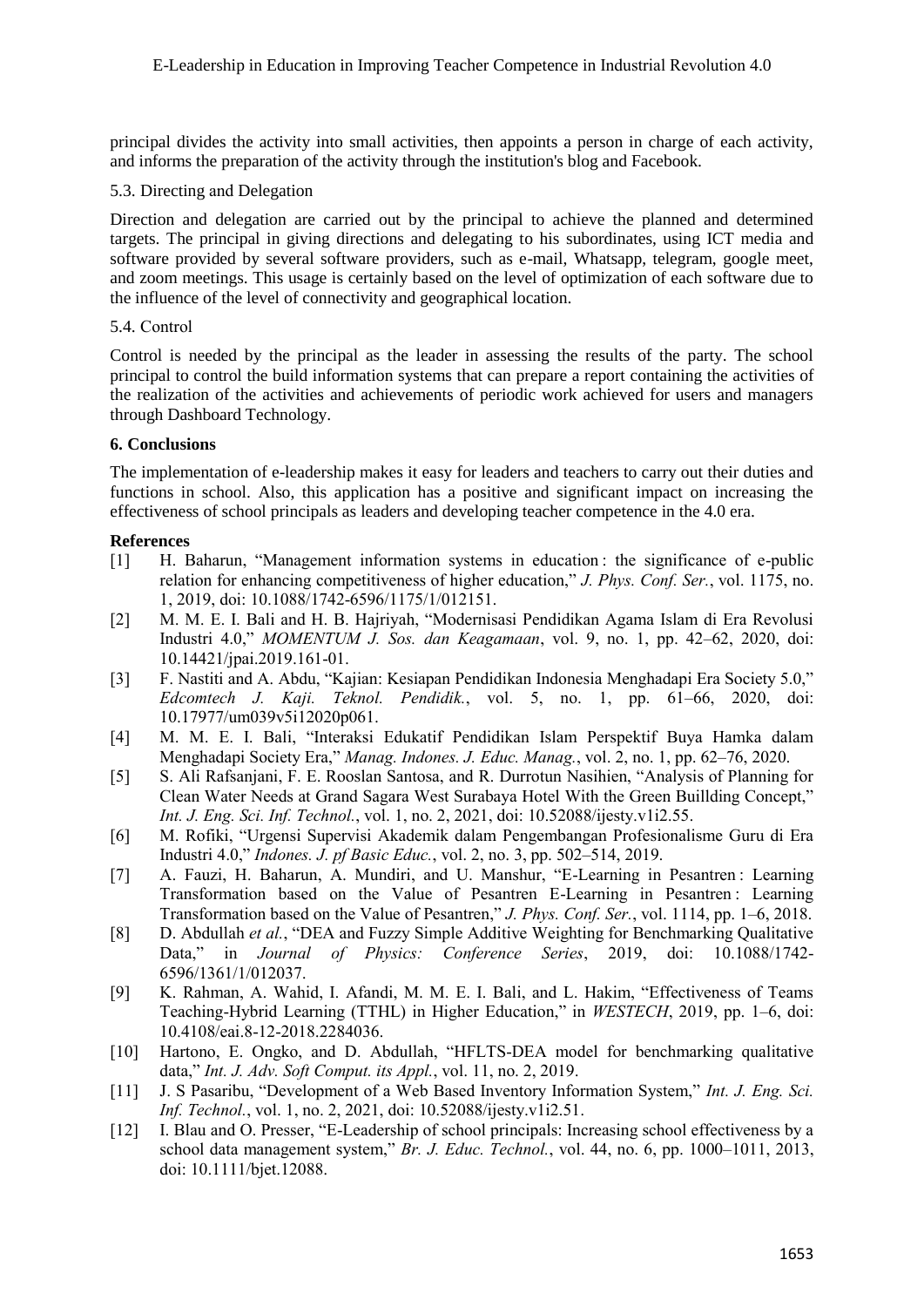principal divides the activity into small activities, then appoints a person in charge of each activity, and informs the preparation of the activity through the institution's blog and Facebook.

## 5.3. Directing and Delegation

Direction and delegation are carried out by the principal to achieve the planned and determined targets. The principal in giving directions and delegating to his subordinates, using ICT media and software provided by several software providers, such as e-mail, Whatsapp, telegram, google meet, and zoom meetings. This usage is certainly based on the level of optimization of each software due to the influence of the level of connectivity and geographical location.

## 5.4. Control

Control is needed by the principal as the leader in assessing the results of the party. The school principal to control the build information systems that can prepare a report containing the activities of the realization of the activities and achievements of periodic work achieved for users and managers through Dashboard Technology.

# **6. Conclusions**

The implementation of e-leadership makes it easy for leaders and teachers to carry out their duties and functions in school. Also, this application has a positive and significant impact on increasing the effectiveness of school principals as leaders and developing teacher competence in the 4.0 era.

## **References**

- [1] H. Baharun, "Management information systems in education : the significance of e-public relation for enhancing competitiveness of higher education," *J. Phys. Conf. Ser.*, vol. 1175, no. 1, 2019, doi: 10.1088/1742-6596/1175/1/012151.
- [2] M. M. E. I. Bali and H. B. Hajriyah, "Modernisasi Pendidikan Agama Islam di Era Revolusi Industri 4.0," *MOMENTUM J. Sos. dan Keagamaan*, vol. 9, no. 1, pp. 42–62, 2020, doi: 10.14421/jpai.2019.161-01.
- [3] F. Nastiti and A. Abdu, "Kajian: Kesiapan Pendidikan Indonesia Menghadapi Era Society 5.0," *Edcomtech J. Kaji. Teknol. Pendidik.*, vol. 5, no. 1, pp. 61–66, 2020, doi: 10.17977/um039v5i12020p061.
- [4] M. M. E. I. Bali, "Interaksi Edukatif Pendidikan Islam Perspektif Buya Hamka dalam Menghadapi Society Era," *Manag. Indones. J. Educ. Manag.*, vol. 2, no. 1, pp. 62–76, 2020.
- [5] S. Ali Rafsanjani, F. E. Rooslan Santosa, and R. Durrotun Nasihien, "Analysis of Planning for Clean Water Needs at Grand Sagara West Surabaya Hotel With the Green Buillding Concept," *Int. J. Eng. Sci. Inf. Technol.*, vol. 1, no. 2, 2021, doi: 10.52088/ijesty.v1i2.55.
- [6] M. Rofiki, "Urgensi Supervisi Akademik dalam Pengembangan Profesionalisme Guru di Era Industri 4.0," *Indones. J. pf Basic Educ.*, vol. 2, no. 3, pp. 502–514, 2019.
- [7] A. Fauzi, H. Baharun, A. Mundiri, and U. Manshur, "E-Learning in Pesantren : Learning Transformation based on the Value of Pesantren E-Learning in Pesantren : Learning Transformation based on the Value of Pesantren," *J. Phys. Conf. Ser.*, vol. 1114, pp. 1–6, 2018.
- [8] D. Abdullah *et al.*, "DEA and Fuzzy Simple Additive Weighting for Benchmarking Qualitative Data," in *Journal of Physics: Conference Series*, 2019, doi: 10.1088/1742- 6596/1361/1/012037.
- [9] K. Rahman, A. Wahid, I. Afandi, M. M. E. I. Bali, and L. Hakim, "Effectiveness of Teams Teaching-Hybrid Learning (TTHL) in Higher Education," in *WESTECH*, 2019, pp. 1–6, doi: 10.4108/eai.8-12-2018.2284036.
- [10] Hartono, E. Ongko, and D. Abdullah, "HFLTS-DEA model for benchmarking qualitative data," *Int. J. Adv. Soft Comput. its Appl.*, vol. 11, no. 2, 2019.
- [11] J. S Pasaribu, "Development of a Web Based Inventory Information System," *Int. J. Eng. Sci. Inf. Technol.*, vol. 1, no. 2, 2021, doi: 10.52088/ijesty.v1i2.51.
- [12] I. Blau and O. Presser, "E-Leadership of school principals: Increasing school effectiveness by a school data management system," *Br. J. Educ. Technol.*, vol. 44, no. 6, pp. 1000–1011, 2013, doi: 10.1111/bjet.12088.